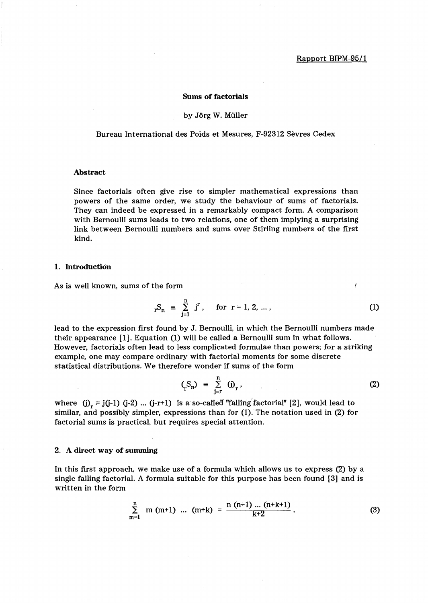ł

## Sums of factorials

## by Jörg W. Müller

Bureau International des Poids et Mesures, F-92312 Sevres Cedex

### Abstract

Since factorials often give rise to simpler mathematical expressions than powers of the same order, we study the behaviour of sums of factorials. They can indeed be expressed in a remarkably compact form. A comparison with Bernoulli sums leads to two relations, one of them implying a surprising link between Bernoulli numbers and sums over Stirling numbers of the first kind.

#### 1. Introduction

As is well known, sums of the form

$$
_rS_n \equiv \sum_{j=1}^n j^r
$$
, for  $r = 1, 2, ...$ , (1)

lead to the expression first found by J. Bernoulli, in which the Bernoulli numbers made their appearance [1]. Equation (1) will be called a Bernoulli sum in what follows. However, factorials often lead to less complicated formulae than powers; for a striking example, one may compare ordinary with factorial moments for some discrete statistical distributions. We therefore wonder if sums of the form

$$
(\zeta_n) \equiv \sum_{j=r}^n (j)_{r}, \qquad (2)
$$

where  $(j)_r = j(j-1)$   $(j-2)$  ...  $(j-r+1)$  is a so-called "falling factorial" [2], would lead to similar, and possibly simpler, expressions than for (l). The notation used in (2) for factorial sums is practical, but requires special attention.

#### 2. A direct way of summing

In this first approach, we make use of a formula which allows us to express (2) by a single falling factorial. A formula suitable for this purpose has been found [3] and is written in the form

$$
\sum_{m=1}^{n} m (m+1) ... (m+k) = \frac{n (n+1) ... (n+k+1)}{k+2}.
$$
 (3)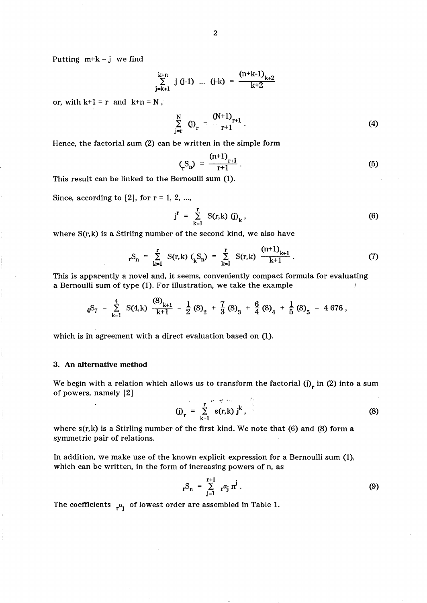Putting  $m+k = j$  we find

$$
\sum_{j=k+1}^{k+n} j (j-1) \dots (j-k) = \frac{(n+k-1)_{k+2}}{k+2}
$$

or, with  $k+1 = r$  and  $k+n = N$ ,

$$
\sum_{j=r}^{N} (j)_r = \frac{(N+1)_{r+1}}{r+1}.
$$
 (4)

Hence, the factorial sum (2) can be written in the simple form

$$
\binom{S_n}{r} = \frac{(n+1)_{r+1}}{r+1} \,. \tag{5}
$$

This result can be linked to the Bernoulli sum (1).

Since, according to  $[2]$ , for  $r = 1, 2, ...$ 

$$
j^r = \sum_{k=1}^r S(r,k) (j)_k,
$$
 (6)

where  $S(r, k)$  is a Stirling number of the second kind, we also have

$$
_{r}S_{n} = \sum_{k=1}^{r} S(r,k) ( {}_{k}S_{n}) = \sum_{k=1}^{r} S(r,k) \frac{(n+1)_{k+1}}{k+1}
$$
 (7)

This is apparently a novel and, it seems, conveniently compact formula for evaluating a Bernoulli sum of type (1). For illustration, we take the example *t* 

$$
{}_{4}S_{7} = \sum_{k=1}^{4} S(4,k) \frac{(8)_{k+1}}{k+1} = \frac{1}{2} (8)_{2} + \frac{7}{3} (8)_{3} + \frac{6}{4} (8)_{4} + \frac{1}{5} (8)_{5} = 4676,
$$

which is in agreement with a direct evaluation based on (1).

## 3. An alternative method

We begin with a relation which allows us to transform the factorial (j)<sub>r</sub> in (2) into a sum of powers, namely [2]

(j)<sub>r</sub> = 
$$
\sum_{k=1}^{r} s(r,k) j^{k}
$$
, (8)

where s(r,k) is a Stirling number of the first kind. We note that (6) and (8) form a symmetric pair of relations.

In addition, we make use of the known explicit expression for a Bernoulli sum (1), which can be written, in the form of increasing powers of n, as

$$
{}_{r}S_{n} = \sum_{j=1}^{r+1} {}_{r} \alpha_{j} n^{j} . \qquad (9)
$$

The coefficients  $r^{\alpha}$  of lowest order are assembled in Table 1.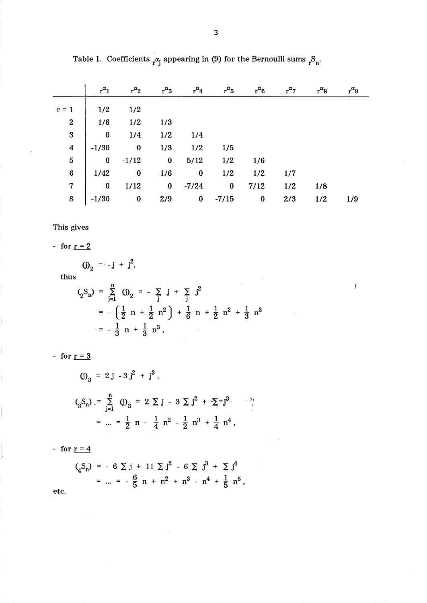|                                                                | $r^{\alpha}$ 1 | $r^{\alpha}$ <sub>2</sub>                                                                                                                                                                                                                                     | $r^{\alpha_3}$ | $r^{\alpha}$ 4 | $r^{\alpha}5$ | $r^{\alpha}6$           | $r^{\alpha}$ 7 | $r^{\alpha}$ 8 |     |
|----------------------------------------------------------------|----------------|---------------------------------------------------------------------------------------------------------------------------------------------------------------------------------------------------------------------------------------------------------------|----------------|----------------|---------------|-------------------------|----------------|----------------|-----|
|                                                                |                |                                                                                                                                                                                                                                                               |                |                |               |                         |                |                |     |
| $r = 1$ $\begin{vmatrix} 1/2 & 1/2 \\ 1/6 & 1/2 \end{vmatrix}$ |                | $\begin{array}{c cccc} -1 & 1/2 & 1/2 \\ 2 & 1/6 & 1/2 & 1/3 \\ 3 & 0 & 1/4 & 1/2 & 1/4 \\ 4 & -1/30 & 0 & 1/3 & 1/2 & 1/5 \\ 5 & 0 & -1/12 & 0 & 5/12 & 1/2 & 1/6 \\ 6 & 1/42 & 0 & -1/6 & 0 & 1/2 & 1/2 \\ 7 & 0 & 1/12 & 0 & -7/24 & 0 & 7/12 \end{array}$ |                |                |               |                         |                |                |     |
|                                                                |                |                                                                                                                                                                                                                                                               |                |                |               |                         |                |                |     |
|                                                                |                |                                                                                                                                                                                                                                                               |                |                |               |                         |                |                |     |
|                                                                |                |                                                                                                                                                                                                                                                               |                |                |               |                         |                |                |     |
|                                                                |                |                                                                                                                                                                                                                                                               |                |                |               |                         | 1/7            |                |     |
|                                                                |                |                                                                                                                                                                                                                                                               |                |                |               |                         | 1/2            | 1/8            |     |
| $\bf{8}$                                                       |                | $-1/30$ 0 2/9 0 -7/15                                                                                                                                                                                                                                         |                |                |               | $\overline{\mathbf{0}}$ | 2/3            | 1/2            | 1/9 |

 $\bar{I}$ 

Table 1. Coefficients  $r^{\alpha}$  appearing in (9) for the Bernoulli sums  $r^{\beta}$ <sub>n</sub>.

This gives

- for  $r = 2$ 

(j)<sub>2</sub> = -j + j<sup>2</sup>,  
\nthus  
\n
$$
\left(\underset{2}{S_{n}}\right) = \sum_{j=1}^{n} (j)_{2} = -\sum_{j} j + \sum_{j} j^{2}
$$
\n
$$
= -\left(\frac{1}{2} n + \frac{1}{2} n^{2}\right) + \frac{1}{6} n + \frac{1}{2} n^{2} + \frac{1}{3} n^{3}
$$
\n
$$
= -\frac{1}{3} n + \frac{1}{3} n^{3},
$$

- for  $r = 3$ 

(j) 
$$
_{3} = 2 j - 3 j^{2} + j^{3}
$$
,  
\n
$$
\left( {}_{3}S_{n} \right) = \sum_{j=1}^{n} (j)_{3} = 2 \sum_{j=1}^{n} j - 3 \sum_{j=1}^{n} j^{2} + \sum_{j=1}^{n} j^{3}.
$$
\n
$$
= ... = \frac{1}{2} n - \frac{1}{4} n^{2} - \frac{1}{2} n^{3} + \frac{1}{4} n^{4},
$$

- for  $r = 4$ 

$$
\begin{aligned}\n\zeta_4 S_n &= -6 \sum j + 11 \sum j^2 - 6 \sum j^3 + \sum j^4 \\
&= ... = -\frac{6}{5} n + n^2 + n^3 - n^4 + \frac{1}{5} n^5,\n\end{aligned}
$$

etc.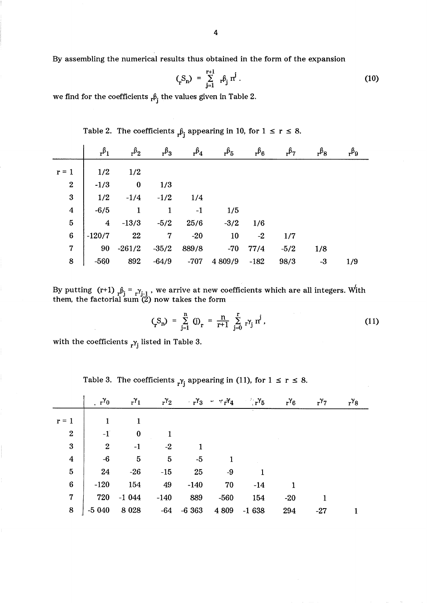By assembling the numerical results thus obtained in the form of the expansion

$$
\left(\text{S}_{n}\right) = \sum_{j=1}^{r+1} r^{\beta_{j}} r^{j} \tag{10}
$$

we find for the coefficients  ${}_{\rm r}\beta_{\rm j}$  the values given in Table 2.

|                         | $r^{\beta}$    | $r^{\beta_2}$ | $r^{\beta_3}$ | $r^{\beta_4}$ | $r^{\beta}5$ | $r^{\beta}6$ | $r^{6}$ | $r^{\beta}$ 8 |     |
|-------------------------|----------------|---------------|---------------|---------------|--------------|--------------|---------|---------------|-----|
| $r = 1$                 | 1/2            | 1/2           |               |               |              |              |         |               |     |
| $\boldsymbol{2}$        | $-1/3$         | $\bf{0}$      | 1/3           |               |              |              |         |               |     |
| 3                       | 1/2            | $-1/4$        | $-1/2$        | 1/4           |              |              |         |               |     |
| $\overline{\mathbf{4}}$ | $-6/5$         | 1             | 1             | $-1$          | 1/5          |              |         |               |     |
| $\overline{5}$          | $\overline{4}$ | $-13/3$       | $-5/2$        | 25/6          | $-3/2$       | 1/6          |         |               |     |
| $6\phantom{1}6$         | $-120/7$       | 22            | 7             | $-20$         | 10           | $-2$         | 1/7     |               |     |
| 7                       | 90             | $-261/2$      | $-35/2$       | 889/8         | $-70$        | 77/4         | $-5/2$  | 1/8           |     |
| 8                       | $-560$         | 892           | $-64/9$       | $-707$        | 4 809/9      | $-182$       | 98/3    | $-3$          | 1/9 |

Table 2. The coefficients  ${}_{r} \beta_{j}$  appearing in 10, for  $1 \leq r \leq 8$ .

By putting  $(r+1)$   ${}_{r}\beta_{i}$  =  ${}_{r}\gamma_{i-1}$  , we arrive at new coefficients which are all integers. With them, the factorial sum  $(2)$  now takes the form

$$
(\mathbf{S}_n) = \sum_{j=1}^n (\mathbf{j})_{\mathbf{r}} = \frac{n}{\mathbf{r} + 1} \sum_{j=0}^r r^{\gamma} \mathbf{r}^j, \qquad (11)
$$

with the coefficients  $_{r}\gamma_{j}$  listed in Table 3.

.  $r^{\gamma_0}$   $r^{\gamma_1}$   $r^{\gamma_2}$   $r^{\gamma_3}$   $r^{\gamma_7}$   $r^{\gamma_4}$   $r^{\gamma_5}$   $r^{\gamma_6}$   $r^{\gamma_7}$   $r^{\gamma_8}$  $r=1$  | 1 1  $2 \begin{array}{|c|c|c|} \hline 2 & -1 & 0 & 1 \ \hline \end{array}$  $3 \begin{array}{|c|c|c|c|c|} \hline 3 & 2 & -1 & -2 & 1 \ \hline \end{array}$  $4 \t-6 \t5 \t5 \t-5 \t1$  $5$  | 24 -26 -15 25 -9 1 6 -120 154 49 -140 70 -14 1 7 720 -1 044 -140 889 -560 154 -20 1  $8$   $-5040$   $8028$   $-64$   $-6363$   $4809$   $-1638$   $294$   $-27$  1

Table 3. The coefficients  $_{r}\gamma_{j}$  appearing in (11), for  $1 \leq r \leq 8$ .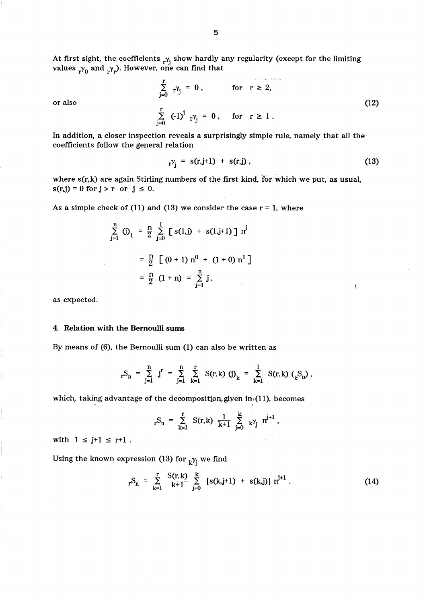At first sight, the coefficients  $_{r}\gamma_j$  show hardly any regularity (except for the limiting values  $r_0$  and  $r_r$ ). However, one can find that

$$
\sum_{j=0}^{r} r^{\gamma_{j}} = 0, \quad \text{for } r \ge 2,
$$
\n
$$
\sum_{j=0}^{r} (-1)^{j} r^{\gamma_{j}} = 0, \quad \text{for } r \ge 1.
$$
\n(12)

or also

In addition, a closer inspection reveals a surprisingly simple rule, namely that all the coefficients follow the general relation

$$
rY_j = s(r,j+1) + s(r,j)
$$
, (13)

where s(r,k) are again Stirling numbers of the first kind, for which we put, as usual,  $s(r,j) = 0$  for  $j > r$  or  $j \leq 0$ .

As a simple check of (11) and (13) we consider the case  $r = 1$ , where

$$
\sum_{j=1}^{n} (j)_1 = \frac{n}{2} \sum_{j=0}^{1} [s(1,j) + s(1,j+1)] n^{j}
$$
  
=  $\frac{n}{2} [ (0+1) n^{0} + (1+0) n^{1} ]$   
=  $\frac{n}{2} (1+n) = \sum_{j=1}^{n} j,$ 

as expected.

#### 4. Relation with the Bernoulli sums

By means of (6), the Bernoulli sum (1) can also be written as

$$
_rS_n = \sum_{j=1}^n j^r = \sum_{j=1}^n \sum_{k=1}^r S(r,k) (j)_k = \sum_{k=1}^1 S(r,k) (S_n),
$$

which, taking advantage of the decomposition given in (11), becomes

$$
rS_n = \sum_{k=1}^r S(r,k) \frac{1}{k+1} \sum_{j=0}^k k^{\gamma} j r^{j+1},
$$

with  $1 \leq j+1 \leq r+1$ .

Using the known expression (13) for  $_k\gamma_j$  we find

$$
{}_{r}S_{n} = \sum_{k=1}^{r} \frac{S(r,k)}{k+1} \sum_{j=0}^{k} [s(k,j+1) + s(k,j)] r^{j+1} . \qquad (14)
$$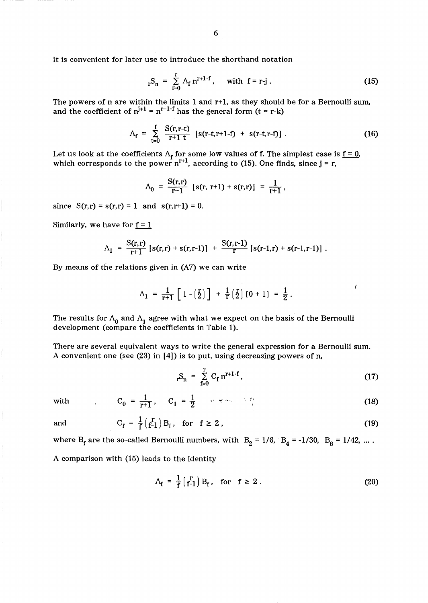$$
_{r}S_{n} = \sum_{f=0}^{r} \Lambda_{f} n^{r+1-f}
$$
, with  $f = r-j$ . (15)

The powers of n are within the limits 1 and r+ 1, as they should be for a Bernoulli sum, and the coefficient of  $n^{j+1} = n^{r+1-f}$  has the general form  $(t = r-k)$ 

$$
\Lambda_{\rm f} = \sum_{t=0}^{\rm f} \frac{S(r,r-t)}{r+1-t} \left[ s(r-t,r+1-f) + s(r-t,r-f) \right]. \tag{16}
$$

Let us look at the coefficients  $\Lambda_{\bf f}$  for some low values of f. The simplest case is <u>f = 0</u>, which corresponds to the power  $n^{r+1}$ , according to (15). One finds, since  $j = r$ ,

$$
\Lambda_0 = \frac{S(r,r)}{r+1} [s(r, r+1) + s(r,r)] = \frac{1}{r+1},
$$

since  $S(r,r) = s(r,r) = 1$  and  $s(r,r+1) = 0$ .

Similarly, we have for  $f = 1$ 

$$
\Lambda_1 = \frac{S(r,r)}{r+1} [s(r,r) + s(r,r-1)] + \frac{S(r,r-1)}{r} [s(r-1,r) + s(r-1,r-1)].
$$

By means of the relations given in (A7) we can write

$$
\Lambda_1 = \frac{1}{r+1} \left[ 1 - \left( \frac{r}{2} \right) \right] + \frac{1}{r} \left( \frac{r}{2} \right) \left[ 0 + 1 \right] = \frac{1}{2} .
$$

The results for  $\Lambda_0$  and  $\Lambda_1$  agree with what we expect on the basis of the Bernoulli development (compare the coefficients in Table 1).

There are several equivalent ways to write the general expression for a Bernoulli sum. A convenient one (see (23) in [4]) is to put, using decreasing powers of n,

$$
{}_{r}S_{n} = \sum_{f=0}^{r} C_{f} n^{r+1-f}, \qquad (17)
$$

Ĭ

with 
$$
C_0 = \frac{1}{r+1}
$$
,  $C_1 = \frac{1}{2}$ 

and 
$$
C_f = \frac{1}{f} \begin{pmatrix} r \\ f-1 \end{pmatrix} B_f
$$
, for  $f \ge 2$ , (19)

where  $B_f$  are the so-called Bernoulli numbers, with  $B_2 = 1/6$ ,  $B_4 = -1/30$ ,  $B_6 = 1/42$ , .... A comparison with (15) leads to the identity

$$
\Lambda_{\mathbf{f}} = \frac{1}{\mathbf{f}} \begin{pmatrix} \mathbf{r} \\ \mathbf{f} - 1 \end{pmatrix} \mathbf{B}_{\mathbf{f}}, \quad \text{for} \quad \mathbf{f} \ge 2 \ . \tag{20}
$$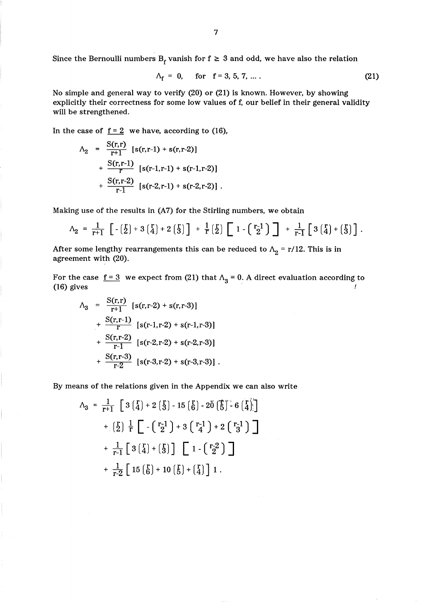Since the Bernoulli numbers B<sub>f</sub> vanish for  $f \geq 3$  and odd, we have also the relation

$$
\Lambda_f = 0, \quad \text{for} \quad f = 3, 5, 7, \dots. \tag{21}
$$

No simple and general way to verify (20) or (21) is known. However, by showing explicitly their correctness for some low values of f, our belief in their general validity will be strengthened.

In the case of  $f = 2$  we have, according to (16),

$$
\Lambda_2 = \frac{S(r,r)}{r+1} [s(r,r-1) + s(r,r-2)]
$$
  
+ 
$$
\frac{S(r,r-1)}{r} [s(r-1,r-1) + s(r-1,r-2)]
$$
  
+ 
$$
\frac{S(r,r-2)}{r-1} [s(r-2,r-1) + s(r-2,r-2)].
$$

Making use of the results in (A7) for the Stirling numbers, we obtain

$$
\Lambda_2 = \frac{1}{r+1} \left[ -\left(\frac{r}{2}\right) + 3\left(\frac{r}{4}\right) + 2\left(\frac{r}{3}\right) \right] + \frac{1}{r} \left(\frac{r}{2}\right) \left[ 1 - \left(\frac{r-1}{2}\right) \right] + \frac{1}{r-1} \left[ 3\left(\frac{r}{4}\right) + \left(\frac{r}{3}\right) \right].
$$

After some lengthy rearrangements this can be reduced to  $\Lambda_2 = r/12$ . This is in agreement with (20).

For the case  $\underline{f=3}$  we expect from (21) that  $\Lambda_3 = 0$ . A direct evaluation according to (16) gives  $\sqrt{ }$  (16) gives  $\sqrt{ }$ 

$$
\Lambda_3 = \frac{S(r,r)}{r+1} [s(r,r-2) + s(r,r-3)]
$$
  
+ 
$$
\frac{S(r,r-1)}{r} [s(r-1,r-2) + s(r-1,r-3)]
$$
  
+ 
$$
\frac{S(r,r-2)}{r-1} [s(r-2,r-2) + s(r-2,r-3)]
$$
  
+ 
$$
\frac{S(r,r-3)}{r-2} [s(r-3,r-2) + s(r-3,r-3)].
$$

By means of the relations given in the Appendix we can also write

$$
\Lambda_3 = \frac{1}{r+1} \left[ 3\left(\frac{r}{4}\right) + 2\left(\frac{r}{3}\right) - 15\left(\frac{r}{6}\right) - 20\left(\frac{r}{5}\right) - 6\left(\frac{r}{4}\right) \right] \n+ \left(\frac{r}{2}\right) \frac{1}{r} \left[ -\left(\frac{r-1}{2}\right) + 3\left(\frac{r-1}{4}\right) + 2\left(\frac{r-1}{3}\right) \right] \n+ \frac{1}{r-1} \left[ 3\left(\frac{r}{4}\right) + \left(\frac{r}{3}\right) \right] \left[ 1 - \left(\frac{r-2}{2}\right) \right] \n+ \frac{1}{r-2} \left[ 15\left(\frac{r}{6}\right) + 10\left(\frac{r}{5}\right) + \left(\frac{r}{4}\right) \right] 1.
$$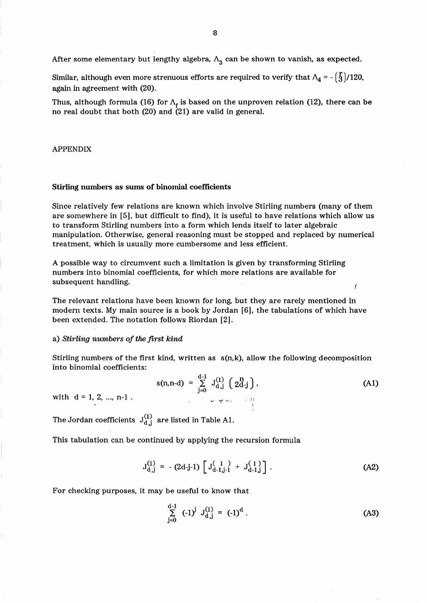After some elementary but lengthy algebra,  $\Lambda$ <sub>3</sub> can be shown to vanish, as expected.

Similar, although even more strenuous efforts are required to verify that  $\Lambda_4 = -\binom{5}{3}/120$ , again in agreement with (20).

Thus, although formula (16) for  $\Lambda_f$  is based on the unproven relation (12), there can be no real doubt that both (20) and (21) are valid in general.

## APPENDIX

#### Stirling numbers as sums of binomial coefficients

Since relatively few relations are known which involve Stirling numbers (many of them are somewhere in [5], but difficult to find), it is useful to have relations which allow us to transform Stirling numbers into a form which lends itself to later algebraic manipulation. Otherwise, general reasoning must be stopped and replaced by numerical treatment, which is usually more cumbersome and less efficient.

A possible way to circumvent such a limitation is given by transforming Stirling numbers into binomial coefficients, for which more relations are available for subsequent handling.

The relevant relations have been known for long, but they are rarely mentioned in modern texts. My main source is a book by Jordan [6], the tabulations of which have been extended. The notation follows Riordan [2].

## a) *Stirling numbers of the first kind*

Stirling numbers of the first kind, written as  $s(n,k)$ , allow the following decomposition into binomial coefficients:

$$
s(n, n-d) = \sum_{j=0}^{d-1} J_{d,j}^{(1)} \left( 2d-j \right), \qquad (A1)
$$

İ

with  $d = 1, 2, ..., n-1$ .

The Jordan coefficients  $J_{d,j}^{(1)}$  are listed in Table A1.

This tabulation can be continued by applying the recursion formula

$$
J_{d,j}^{(1)} = -(2d-j-1) \left[ J_{d-1,j-1}^{(1)} + J_{d-1,j}^{(1)} \right].
$$
 (A2)

For checking purposes, it may be useful to know that

$$
\sum_{j=0}^{d-1} (-1)^j J_{d,j}^{(1)} = (-1)^d.
$$
 (A3)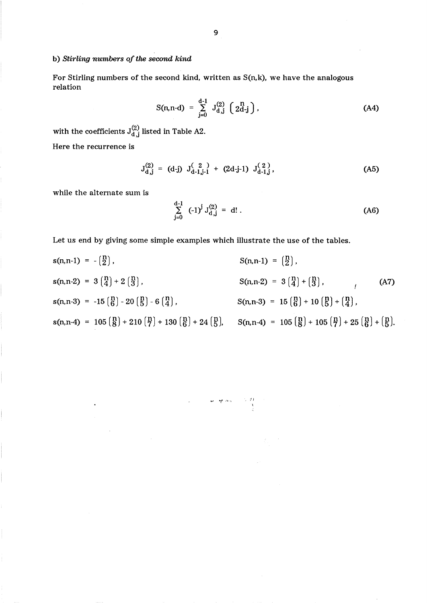# b) *Stirling numbers of the second kind*

For Stirling numbers of the second kind, written as  $S(n,k)$ , we have the analogous relation

$$
S(n,n-d) = \sum_{j=0}^{d-1} J_{d,j}^{(2)} \left( 2d-j \right), \qquad (A4)
$$

with the coefficients  ${\bf J}^{(2)}_{{\bf d}, {\bf j}}$  listed in Table A2.

Here the recurrence is

$$
J_{d,j}^{(2)} = (d-j) J_{d-1,j-1}^{(2)} + (2d-j-1) J_{d-1,j}^{(2)},
$$
 (A5)

while the alternate sum is

$$
\sum_{j=0}^{d-1} (-1)^j J_{d,j}^{(2)} = d! .
$$
 (A6)

Let us end by giving some simple examples which illustrate the use of the tables.

$$
s(n, n-1) = -\binom{n}{2},
$$
  
\n
$$
s(n, n-2) = 3\binom{n}{4} + 2\binom{n}{3},
$$
  
\n
$$
s(n, n-3) = -15\binom{n}{6} - 20\binom{n}{5} - 6\binom{n}{4},
$$
  
\n
$$
s(n, n-4) = 105\binom{n}{8} + 210\binom{n}{7} + 130\binom{n}{6} + 24\binom{n}{5},
$$
  
\n
$$
S(n, n-3) = 15\binom{n}{6} + 10\binom{n}{5} + \binom{n}{4},
$$
  
\n
$$
s(n, n-4) = 105\binom{n}{8} + 210\binom{n}{7} + 130\binom{n}{6} + 24\binom{n}{5},
$$
  
\n
$$
S(n, n-4) = 105\binom{n}{8} + 105\binom{n}{7} + 25\binom{n}{6} + \binom{n}{5}.
$$

 $\begin{array}{ccc} \mathcal{C}\mathcal{V} & \mathcal{C} & \mathcal{S} & \mathcal{S}\mathcal{P} & \mathcal{S}\mathcal{P} \\ \mathcal{F} & & & & \mathcal{E} & \mathcal{P} \mathcal{P} & \mathcal{S}\mathcal{P} \end{array}$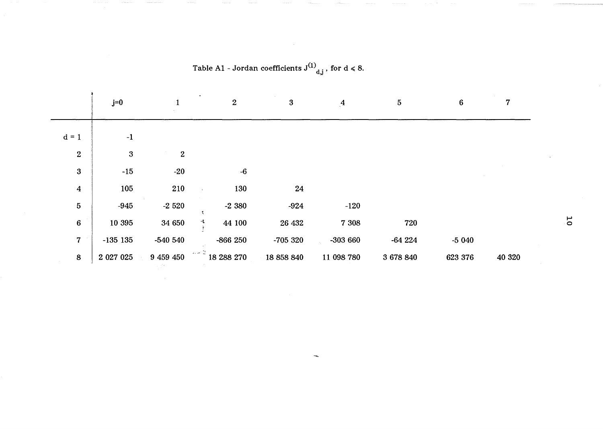|                  | $j=0$            |                  | $\sqrt{2}$  | $\boldsymbol{3}$ | $\overline{A}$ | 5         | $6\phantom{.}6$ |        |
|------------------|------------------|------------------|-------------|------------------|----------------|-----------|-----------------|--------|
| $d = 1$          | $-1$             |                  |             |                  |                |           |                 |        |
| $\overline{2}$   | $\boldsymbol{3}$ | $\boldsymbol{2}$ |             |                  |                |           |                 |        |
| 3                | $-15$            | $-20$            | $-6$        |                  |                |           |                 |        |
| $\boldsymbol{4}$ | 105              | 210              | 130         | 24               |                |           |                 |        |
| 5 <sup>5</sup>   | $-945$           | $-2520$          | $-2380$     | $-924$           | $-120$         |           |                 |        |
| $\boldsymbol{6}$ | 10 395           | 34 650           | 峰<br>44 100 | 26 432           | 7 3 0 8        | 720       |                 |        |
| 7 <sup>1</sup>   | $-135$ 135       | $-540540$        | $-866250$   | $-705320$        | $-303660$      | $-64224$  | $-5040$         |        |
| 8                | 2 027 025        | 9 459 450        | 18288270    | 18 858 840       | 11 098 780     | 3 678 840 | 623 376         | 40 320 |

Table A1 - Jordan coefficients  $J^{(1)}_{d,j}$ , for  $d \le 8$ .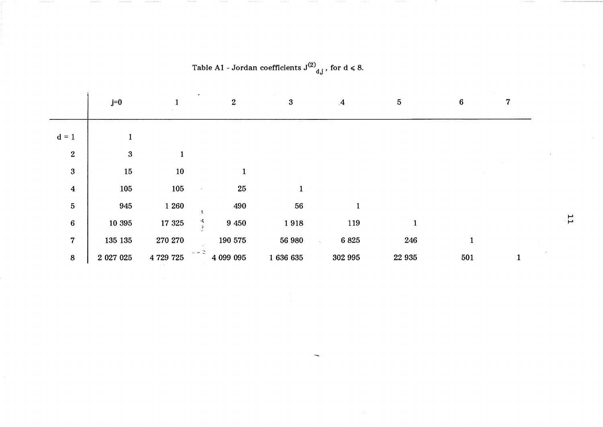|                  | $j=0$            |           | $\boldsymbol{2}$ | $\mathbf{3}$ | $\mathbf{A}$              | $\overline{5}$ | 6            |  |
|------------------|------------------|-----------|------------------|--------------|---------------------------|----------------|--------------|--|
| $d = 1$          |                  |           |                  |              |                           |                |              |  |
| $\overline{2}$   | $\boldsymbol{3}$ |           |                  |              |                           |                |              |  |
| $\boldsymbol{3}$ | $15\,$           | 10        |                  |              |                           |                |              |  |
| $\boldsymbol{4}$ | 105              | 105       | 25               | $\mathbf{1}$ |                           |                |              |  |
| $\overline{5}$   | 945              | 1 260     | 490              | 56           |                           |                |              |  |
| $\bf 6$          | 10 395           | 17 3 25   | 9 4 5 0          | 1918         | 119                       | $\mathbf{1}$   |              |  |
| $\overline{7}$   | 135 135          | 270 270   | 190 575          | 56 980       | 6825<br>$\mathcal{A}_\mu$ | 246            | $\mathbf{1}$ |  |
| $\bf 8$          | 2 027 025        | 4 729 725 | 法分类<br>4 099 095 | 1636635      | 302 995                   | 22 9 35        | 501          |  |

Table A1 - Jordan coefficients  $J^{(2)}_{d,j}$ , for  $d \le 8$ .